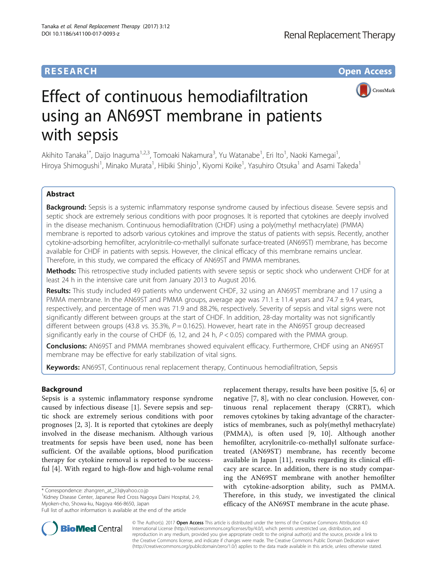## **RESEARCH CHE Open Access**



# Effect of continuous hemodiafiltration using an AN69ST membrane in patients with sepsis

Akihito Tanaka<sup>1\*</sup>, Daijo Inaguma<sup>1,2,3</sup>, Tomoaki Nakamura<sup>3</sup>, Yu Watanabe<sup>1</sup>, Eri Ito<sup>1</sup>, Naoki Kamegai<sup>1</sup> , Hiroya Shimogushi<sup>1</sup>, Minako Murata<sup>1</sup>, Hibiki Shinjo<sup>1</sup>, Kiyomi Koike<sup>1</sup>, Yasuhiro Otsuka<sup>1</sup> and Asami Takeda<sup>1</sup>

## Abstract

Background: Sepsis is a systemic inflammatory response syndrome caused by infectious disease. Severe sepsis and septic shock are extremely serious conditions with poor prognoses. It is reported that cytokines are deeply involved in the disease mechanism. Continuous hemodiafiltration (CHDF) using a poly(methyl methacrylate) (PMMA) membrane is reported to adsorb various cytokines and improve the status of patients with sepsis. Recently, another cytokine-adsorbing hemofilter, acrylonitrile-co-methallyl sulfonate surface-treated (AN69ST) membrane, has become available for CHDF in patients with sepsis. However, the clinical efficacy of this membrane remains unclear. Therefore, in this study, we compared the efficacy of AN69ST and PMMA membranes.

Methods: This retrospective study included patients with severe sepsis or septic shock who underwent CHDF for at least 24 h in the intensive care unit from January 2013 to August 2016.

Results: This study included 49 patients who underwent CHDF, 32 using an AN69ST membrane and 17 using a PMMA membrane. In the AN69ST and PMMA groups, average age was  $71.1 \pm 11.4$  years and  $74.7 \pm 9.4$  years, respectively, and percentage of men was 71.9 and 88.2%, respectively. Severity of sepsis and vital signs were not significantly different between groups at the start of CHDF. In addition, 28-day mortality was not significantly different between groups (43.8 vs. 35.3%,  $P = 0.1625$ ). However, heart rate in the AN69ST group decreased significantly early in the course of CHDF (6, 12, and 24 h,  $P < 0.05$ ) compared with the PMMA group.

**Conclusions:** AN69ST and PMMA membranes showed equivalent efficacy. Furthermore, CHDF using an AN69ST membrane may be effective for early stabilization of vital signs.

Keywords: AN69ST, Continuous renal replacement therapy, Continuous hemodiafiltration, Sepsis

## Background

Sepsis is a systemic inflammatory response syndrome caused by infectious disease [[1\]](#page-5-0). Severe sepsis and septic shock are extremely serious conditions with poor prognoses [[2](#page-5-0), [3](#page-5-0)]. It is reported that cytokines are deeply involved in the disease mechanism. Although various treatments for sepsis have been used, none has been sufficient. Of the available options, blood purification therapy for cytokine removal is reported to be successful [[4](#page-5-0)]. With regard to high-flow and high-volume renal

\* Correspondence: [zhangren\\_at\\_23@yahoo.co.jp](mailto:zhangren_at_23@yahoo.co.jp) <sup>1</sup>

<sup>1</sup> Kidney Disease Center, Japanese Red Cross Nagoya Daini Hospital, 2-9, Myoken-cho, Showa-ku, Nagoya 466-8650, Japan

replacement therapy, results have been positive [\[5](#page-5-0), [6\]](#page-5-0) or negative [\[7](#page-5-0), [8\]](#page-5-0), with no clear conclusion. However, continuous renal replacement therapy (CRRT), which removes cytokines by taking advantage of the characteristics of membranes, such as poly(methyl methacrylate) (PMMA), is often used [\[9](#page-5-0), [10\]](#page-5-0). Although another hemofilter, acrylonitrile-co-methallyl sulfonate surfacetreated (AN69ST) membrane, has recently become available in Japan [\[11](#page-5-0)], results regarding its clinical efficacy are scarce. In addition, there is no study comparing the AN69ST membrane with another hemofilter with cytokine-adsorption ability, such as PMMA. Therefore, in this study, we investigated the clinical efficacy of the AN69ST membrane in the acute phase.



© The Author(s). 2017 **Open Access** This article is distributed under the terms of the Creative Commons Attribution 4.0 International License [\(http://creativecommons.org/licenses/by/4.0/](http://creativecommons.org/licenses/by/4.0/)), which permits unrestricted use, distribution, and reproduction in any medium, provided you give appropriate credit to the original author(s) and the source, provide a link to the Creative Commons license, and indicate if changes were made. The Creative Commons Public Domain Dedication waiver [\(http://creativecommons.org/publicdomain/zero/1.0/](http://creativecommons.org/publicdomain/zero/1.0/)) applies to the data made available in this article, unless otherwise stated.

Full list of author information is available at the end of the article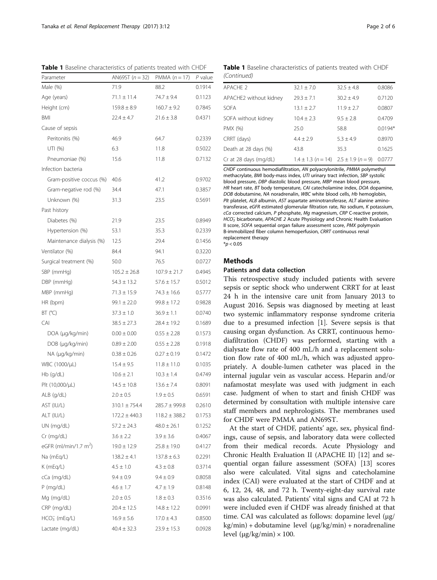| <b><i>Pascinic characteristics</i></b> or patients treated with ChiDi<br>Parameter | AN69ST $(n = 32)$ | PMMA $(n = 17)$   | $P$ value |
|------------------------------------------------------------------------------------|-------------------|-------------------|-----------|
| Male (%)                                                                           | 71.9              | 88.2              | 0.1914    |
| Age (years)                                                                        | $71.1 \pm 11.4$   | 74.7 ± 9.4        | 0.1123    |
| Height (cm)                                                                        | $159.8 \pm 8.9$   | $160.7 \pm 9.2$   | 0.7845    |
| <b>BMI</b>                                                                         |                   | $21.6 \pm 3.8$    |           |
|                                                                                    | $22.4 \pm 4.7$    |                   | 0.4371    |
| Cause of sepsis                                                                    |                   |                   |           |
| Peritonitis (%)                                                                    | 46.9              | 64.7              | 0.2339    |
| UTI (%)                                                                            | 6.3               | 11.8              | 0.5022    |
| Pneumoniae (%)                                                                     | 15.6              | 11.8              | 0.7132    |
| Infection bacteria                                                                 |                   |                   |           |
| Gram-positive coccus (%)                                                           | 40.6              | 41.2              | 0.9702    |
| Gram-negative rod (%)                                                              | 34.4              | 47.1              | 0.3857    |
| Unknown (%)                                                                        | 31.3              | 23.5              | 0.5691    |
| Past history                                                                       |                   |                   |           |
| Diabetes (%)                                                                       | 21.9              | 23.5              | 0.8949    |
| Hypertension (%)                                                                   | 53.1              | 35.3              | 0.2339    |
| Maintenance dialysis (%)                                                           | 12.5              | 29.4              | 0.1456    |
| Ventilator (%)                                                                     | 84.4              | 94.1              | 0.3220    |
| Surgical treatment (%)                                                             | 50.0              | 76.5              | 0.0727    |
| SBP (mmHg)                                                                         | $105.2 \pm 26.8$  | $107.9 \pm 21.7$  | 0.4945    |
| DBP (mmHg)                                                                         | $54.3 \pm 13.2$   | $57.6 \pm 15.7$   | 0.5012    |
| MBP (mmHg)                                                                         | $71.3 \pm 15.9$   | $74.3 \pm 16.6$   | 0.5777    |
| HR (bpm)                                                                           | $99.1 \pm 22.0$   | $99.8 \pm 17.2$   | 0.9828    |
| BT (°C)                                                                            | $37.3 \pm 1.0$    | $36.9 \pm 1.1$    | 0.0740    |
| CAI                                                                                | $38.5 \pm 27.3$   | $28.4 \pm 19.2$   | 0.1689    |
| DOA (µg/kg/min)                                                                    | $0.00 \pm 0.00$   | $0.55 \pm 2.28$   | 0.1573    |
| DOB (µg/kg/min)                                                                    | $0.89 \pm 2.00$   | $0.55 \pm 2.28$   | 0.1918    |
| NA (µg/kg/min)                                                                     | $0.38 \pm 0.26$   | $0.27 \pm 0.19$   | 0.1472    |
| WBC (1000/µL)                                                                      | $15.4 \pm 9.5$    | $11.8 \pm 11.0$   | 0.1035    |
| $Hb$ (g/dL)                                                                        | $10.6 \pm 2.1$    | $10.3 \pm 1.4$    | 0.4749    |
| Plt (10,000/µL)                                                                    | $14.5 \pm 10.8$   | $13.6 \pm 7.4$    | 0.8091    |
| ALB (g/dL)                                                                         | $2.0 \pm 0.5$     | $1.9 \pm 0.5$     | 0.6591    |
| AST (IU/L)                                                                         | $310.1 \pm 754.4$ | 285.7 ± 999.8     | 0.2610    |
| ALT (IU/L)                                                                         | $172.2 \pm 440.3$ | $118.2 \pm 388.2$ | 0.1753    |
| UN (mg/dL)                                                                         | $57.2 \pm 24.3$   | $48.0 \pm 26.1$   | 0.1252    |
| Cr (mg/dL)                                                                         | $3.6 \pm 2.2$     | $3.9 \pm 3.6$     | 0.4067    |
| eGFR (ml/min/1.7 $m2$ )                                                            | $19.0 \pm 12.9$   | $25.8 \pm 19.0$   | 0.4127    |
| Na (mEg/L)                                                                         | $138.2 \pm 4.1$   | $137.8 \pm 6.3$   | 0.2291    |
| K (mEq/L)                                                                          | $4.5 \pm 1.0$     | $4.3 \pm 0.8$     | 0.3714    |
| cCa (mg/dL)                                                                        | $9.4 \pm 0.9$     | $9.4 \pm 0.9$     | 0.8058    |
| $P$ (mg/dL)                                                                        | $4.6 \pm 1.7$     | $4.7 \pm 1.9$     | 0.8148    |
| Mg (mg/dL)                                                                         | $2.0 \pm 0.5$     | $1.8 \pm 0.3$     | 0.3516    |
| CRP (mg/dL)                                                                        | $20.4 \pm 12.5$   | $14.8 \pm 12.2$   | 0.0991    |
| $HCO3-$ (mEq/L)                                                                    | $16.9 \pm 5.6$    | $17.0 \pm 4.3$    | 0.8500    |
| Lactate (mg/dL)                                                                    | $40.4 \pm 32.3$   | $23.9 \pm 15.3$   | 0.0928    |
|                                                                                    |                   |                   |           |

<span id="page-1-0"></span>Table 1 Baseline characteristics of patients treated with CHDF Table 1 Baseline characteristics of patients treated with CHDF (Continued)

| APACHE 2               | $32.1 \pm 7.0$                               | $32.5 + 4.8$   | 0.8086    |
|------------------------|----------------------------------------------|----------------|-----------|
| APACHE2 without kidney | $79.3 + 7.1$                                 | $30.2 + 4.9$   | 0.7120    |
| <b>SOFA</b>            | $13.1 \pm 2.7$                               | $11.9 \pm 2.7$ | 0.0807    |
| SOFA without kidney    | $10.4 + 2.3$                                 | $9.5 + 2.8$    | 0.4709    |
| PMX (%)                | 25.0                                         | 58.8           | $0.0194*$ |
| CRRT (days)            | $4.4 \pm 2.9$                                | $5.3 \pm 4.9$  | 0.8970    |
| Death at 28 days (%)   | 43.8                                         | 35.3           | 0.1625    |
| Cr at 28 days (mg/dL)  | $1.4 \pm 1.3$ (n = 14) $2.5 \pm 1.9$ (n = 9) |                | 0.0777    |

CHDF continuous hemodiafiltration, AN polyacrylonitrile, PMMA polymethyl methacrylate, BMI body-mass index, UTI urinary tract infection, SBP systolic blood pressure, DBP diastolic blood pressure, MBP mean blood pressure, HR heart rate, BT body temperature, CAI catecholamine index, DOA dopamine, DOB dobutamine, NA noradrenalin, WBC white blood cells, Hb hemoglobin, Plt platelet, ALB albumin, AST aspartate aminotransferase, ALT alanine aminotransferase, eGFR estimated glomerular filtration rate, Na sodium, K potassium, cCa corrected calcium, P phosphate, Mg magnesium, CRP C-reactive protein, II score, SOFA sequential organ failure assessment score, PMX polymyxin<br>B-immobilized fiber column bemonerfusion CPPT continuous renal HCO<sub>3</sub> bicarbonate, APACHE 2 Acute Physiology and Chronic Health Evaluation B-immobilized fiber column hemoperfusion, CRRT continuous renal replacement therapy

 $*p < 0.05$ 

## Methods

## Patients and data collection

This retrospective study included patients with severe sepsis or septic shock who underwent CRRT for at least 24 h in the intensive care unit from January 2013 to August 2016. Sepsis was diagnosed by meeting at least two systemic inflammatory response syndrome criteria due to a presumed infection [\[1](#page-5-0)]. Severe sepsis is that causing organ dysfunction. As CRRT, continuous hemodiafiltration (CHDF) was performed, starting with a dialysate flow rate of 400 mL/h and a replacement solution flow rate of 400 mL/h, which was adjusted appropriately. A double-lumen catheter was placed in the internal jugular vein as vascular access. Heparin and/or nafamostat mesylate was used with judgment in each case. Judgment of when to start and finish CHDF was determined by consultation with multiple intensive care staff members and nephrologists. The membranes used for CHDF were PMMA and AN69ST.

At the start of CHDF, patients' age, sex, physical findings, cause of sepsis, and laboratory data were collected from their medical records. Acute Physiology and Chronic Health Evaluation II (APACHE II) [\[12](#page-5-0)] and sequential organ failure assessment (SOFA) [[13\]](#page-5-0) scores also were calculated. Vital signs and catecholamine index (CAI) were evaluated at the start of CHDF and at 6, 12, 24, 48, and 72 h. Twenty-eight-day survival rate was also calculated. Patients' vital signs and CAI at 72 h were included even if CHDF was already finished at that time. CAI was calculated as follows: dopamine level (μg/ kg/min) + dobutamine level (μg/kg/min) + noradrenaline level ( $\mu$ g/kg/min) × 100.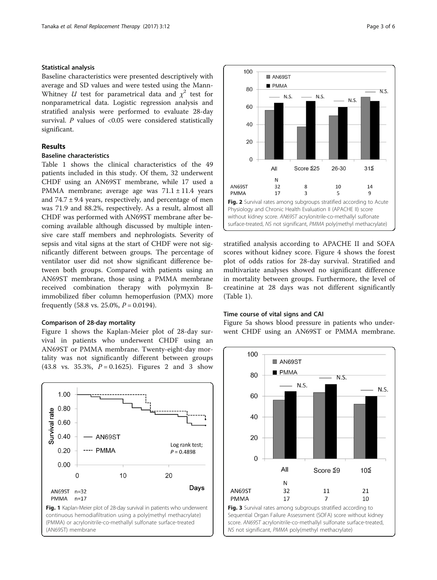## Statistical analysis

Baseline characteristics were presented descriptively with average and SD values and were tested using the Mann-Whitney *U* test for parametrical data and  $\chi^2$  test for nonparametrical data. Logistic regression analysis and stratified analysis were performed to evaluate 28-day survival.  $P$  values of <0.05 were considered statistically significant.

## Results

## Baseline characteristics

Table [1](#page-1-0) shows the clinical characteristics of the 49 patients included in this study. Of them, 32 underwent CHDF using an AN69ST membrane, while 17 used a PMMA membrane; average age was  $71.1 \pm 11.4$  years and  $74.7 \pm 9.4$  years, respectively, and percentage of men was 71.9 and 88.2%, respectively. As a result, almost all CHDF was performed with AN69ST membrane after becoming available although discussed by multiple intensive care staff members and nephrologists. Severity of sepsis and vital signs at the start of CHDF were not significantly different between groups. The percentage of ventilator user did not show significant difference between both groups. Compared with patients using an AN69ST membrane, those using a PMMA membrane received combination therapy with polymyxin Bimmobilized fiber column hemoperfusion (PMX) more frequently  $(58.8 \text{ vs. } 25.0\%, P = 0.0194)$ .

## Comparison of 28-day mortality

Figure 1 shows the Kaplan-Meier plot of 28-day survival in patients who underwent CHDF using an AN69ST or PMMA membrane. Twenty-eight-day mortality was not significantly different between groups  $(43.8 \text{ vs. } 35.3\%, P = 0.1625)$ . Figures 2 and 3 show





stratified analysis according to APACHE II and SOFA scores without kidney score. Figure [4](#page-3-0) shows the forest plot of odds ratios for 28-day survival. Stratified and multivariate analyses showed no significant difference in mortality between groups. Furthermore, the level of creatinine at 28 days was not different significantly (Table [1\)](#page-1-0).

## Time course of vital signs and CAI

Figure [5a](#page-3-0) shows blood pressure in patients who underwent CHDF using an AN69ST or PMMA membrane.



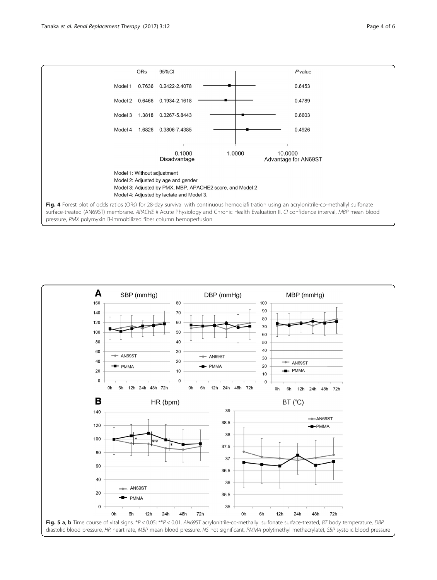<span id="page-3-0"></span>

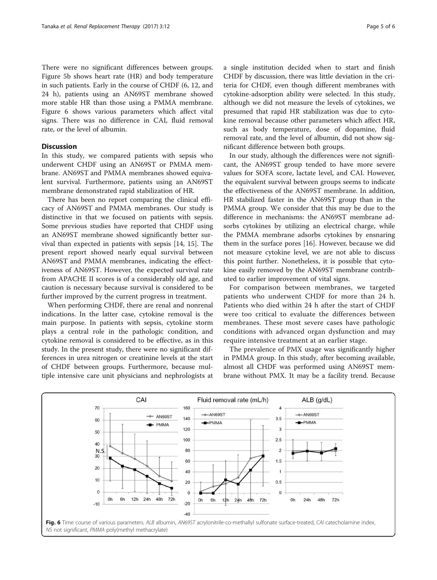There were no significant differences between groups. Figure [5b](#page-3-0) shows heart rate (HR) and body temperature in such patients. Early in the course of CHDF (6, 12, and 24 h), patients using an AN69ST membrane showed more stable HR than those using a PMMA membrane. Figure 6 shows various parameters which affect vital signs. There was no difference in CAI, fluid removal rate, or the level of albumin.

## **Discussion**

In this study, we compared patients with sepsis who underwent CHDF using an AN69ST or PMMA membrane. AN69ST and PMMA membranes showed equivalent survival. Furthermore, patients using an AN69ST membrane demonstrated rapid stabilization of HR.

There has been no report comparing the clinical efficacy of AN69ST and PMMA membranes. Our study is distinctive in that we focused on patients with sepsis. Some previous studies have reported that CHDF using an AN69ST membrane showed significantly better survival than expected in patients with sepsis [[14, 15](#page-5-0)]. The present report showed nearly equal survival between AN69ST and PMMA membranes, indicating the effectiveness of AN69ST. However, the expected survival rate from APACHE II scores is of a considerably old age, and caution is necessary because survival is considered to be further improved by the current progress in treatment.

When performing CHDF, there are renal and nonrenal indications. In the latter case, cytokine removal is the main purpose. In patients with sepsis, cytokine storm plays a central role in the pathologic condition, and cytokine removal is considered to be effective, as in this study. In the present study, there were no significant differences in urea nitrogen or creatinine levels at the start of CHDF between groups. Furthermore, because multiple intensive care unit physicians and nephrologists at a single institution decided when to start and finish CHDF by discussion, there was little deviation in the criteria for CHDF, even though different membranes with cytokine-adsorption ability were selected. In this study, although we did not measure the levels of cytokines, we presumed that rapid HR stabilization was due to cytokine removal because other parameters which affect HR, such as body temperature, dose of dopamine, fluid removal rate, and the level of albumin, did not show significant difference between both groups.

In our study, although the differences were not significant, the AN69ST group tended to have more severe values for SOFA score, lactate level, and CAI. However, the equivalent survival between groups seems to indicate the effectiveness of the AN69ST membrane. In addition, HR stabilized faster in the AN69ST group than in the PMMA group. We consider that this may be due to the difference in mechanisms: the AN69ST membrane adsorbs cytokines by utilizing an electrical charge, while the PMMA membrane adsorbs cytokines by ensnaring them in the surface pores [[16](#page-5-0)]. However, because we did not measure cytokine level, we are not able to discuss this point further. Nonetheless, it is possible that cytokine easily removed by the AN69ST membrane contributed to earlier improvement of vital signs.

For comparison between membranes, we targeted patients who underwent CHDF for more than 24 h. Patients who died within 24 h after the start of CHDF were too critical to evaluate the differences between membranes. These most severe cases have pathologic conditions with advanced organ dysfunction and may require intensive treatment at an earlier stage.

The prevalence of PMX usage was significantly higher in PMMA group. In this study, after becoming available, almost all CHDF was performed using AN69ST membrane without PMX. It may be a facility trend. Because